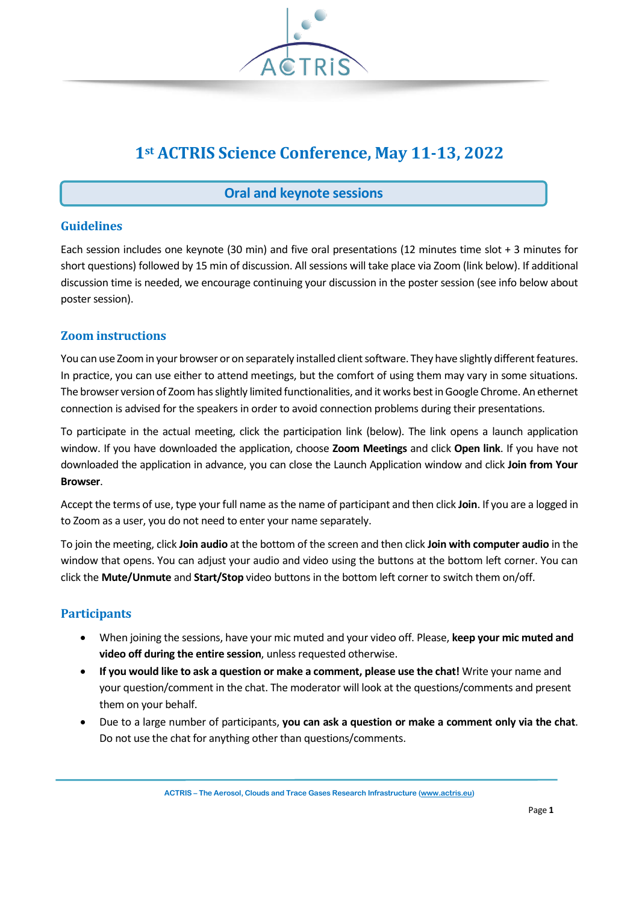

# **1st ACTRIS Science Conference, May 11-13, 2022**

# **Oral and keynote sessions**

## **Guidelines**

Each session includes one keynote (30 min) and five oral presentations (12 minutes time slot + 3 minutes for short questions) followed by 15 min of discussion. All sessions will take place via Zoom (link below). If additional discussion time is needed, we encourage continuing your discussion in the poster session (see info below about poster session).

### **Zoom instructions**

You can use Zoom in your browser or on separately installed client software. They have slightly different features. In practice, you can use either to attend meetings, but the comfort of using them may vary in some situations. The browser version of Zoom has slightly limited functionalities, and it works best in Google Chrome. An ethernet connection is advised for the speakers in order to avoid connection problems during their presentations.

To participate in the actual meeting, click the participation link (below). The link opens a launch application window. If you have downloaded the application, choose **Zoom Meetings** and click **Open link**. If you have not downloaded the application in advance, you can close the Launch Application window and click **Join from Your Browser**.

Accept the terms of use, type your full name as the name of participant and then click **Join**. If you are a logged in to Zoom as a user, you do not need to enter your name separately.

To join the meeting, click **Join audio** at the bottom of the screen and then click **Join with computer audio** in the window that opens. You can adjust your audio and video using the buttons at the bottom left corner. You can click the **Mute/Unmute** and **Start/Stop** video buttons in the bottom left corner to switch them on/off.

#### **Participants**

- When joining the sessions, have your mic muted and your video off. Please, **keep your mic muted and video off during the entire session**, unless requested otherwise.
- **If you would like to ask a question or make a comment, please use the chat!** Write your name and your question/comment in the chat. The moderator will look at the questions/comments and present them on your behalf.
- Due to a large number of participants, **you can ask a question or make a comment only via the chat**. Do not use the chat for anything other than questions/comments.

**ACTRIS – The Aerosol, Clouds and Trace Gases Research Infrastructure [\(www.actris.eu\)](http://www.actris.eu/)**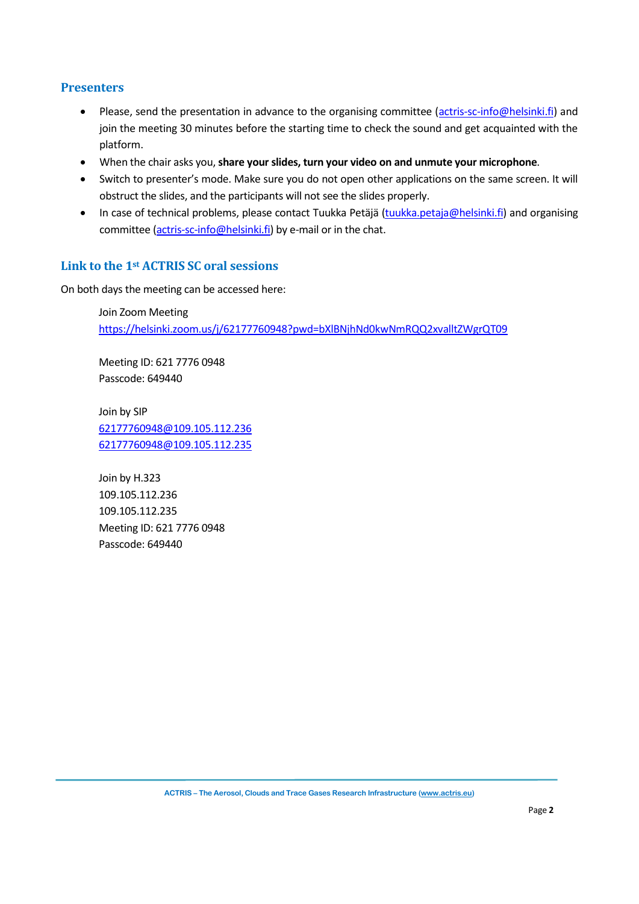## **Presenters**

- Please, send the presentation in advance to the organising committee [\(actris-sc-info@helsinki.fi\)](mailto:actris-sc-info@helsinki.fi) and join the meeting 30 minutes before the starting time to check the sound and get acquainted with the platform.
- When the chair asks you, **share your slides, turn your video on and unmute your microphone**.
- Switch to presenter's mode. Make sure you do not open other applications on the same screen. It will obstruct the slides, and the participants will not see the slides properly.
- In case of technical problems, please contact Tuukka Petäjä [\(tuukka.petaja@helsinki.fi\)](mailto:tuukka.petaja@helsinki.fi) and organising committee [\(actris-sc-info@helsinki.fi\)](mailto:actris-sc-info@helsinki.fi) by e-mail or in the chat.

### **Link to the 1st ACTRIS SC oral sessions**

On both days the meeting can be accessed here:

Join Zoom Meeting <https://helsinki.zoom.us/j/62177760948?pwd=bXlBNjhNd0kwNmRQQ2xvalltZWgrQT09>

Meeting ID: 621 7776 0948 Passcode: 649440

Join by SIP [62177760948@109.105.112.236](mailto:62177760948@109.105.112.236) [62177760948@109.105.112.235](mailto:62177760948@109.105.112.235)

Join by H.323 109.105.112.236 109.105.112.235 Meeting ID: 621 7776 0948 Passcode: 649440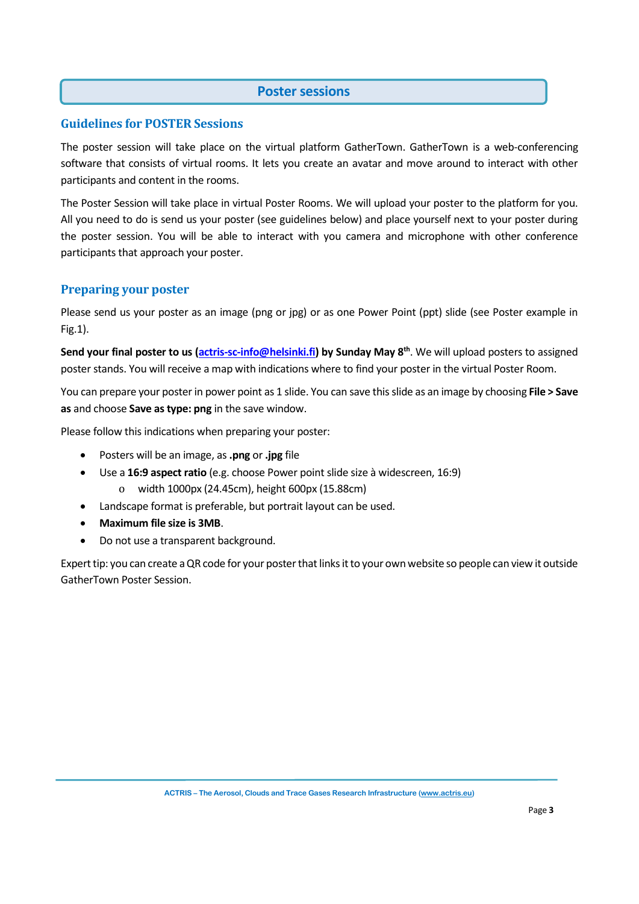#### **Poster sessions**

#### **Guidelines for POSTER Sessions**

The poster session will take place on the virtual platform GatherTown. GatherTown is a web-conferencing software that consists of virtual rooms. It lets you create an avatar and move around to interact with other participants and content in the rooms.

The Poster Session will take place in virtual Poster Rooms. We will upload your poster to the platform for you. All you need to do is send us your poster (see guidelines below) and place yourself next to your poster during the poster session. You will be able to interact with you camera and microphone with other conference participants that approach your poster.

### **Preparing your poster**

Please send us your poster as an image (png or jpg) or as one Power Point (ppt) slide (see Poster example in Fig.1).

**Send your final poster to us [\(actris-sc-info@helsinki.fi\)](mailto:actris-sc-info@helsinki.fi) by Sunday May 8th** . We will upload posters to assigned poster stands. You will receive a map with indications where to find your poster in the virtual Poster Room.

You can prepare your poster in power point as 1 slide. You can save this slide as an image by choosing **File > Save as** and choose **Save as type: png** in the save window.

Please follow this indications when preparing your poster:

- Posters will be an image, as **.png** or **.jpg** file
- Use a **16:9 aspect ratio** (e.g. choose Power point slide size à widescreen, 16:9) o width 1000px (24.45cm), height 600px (15.88cm)
- Landscape format is preferable, but portrait layout can be used.
- **Maximum file size is 3MB**.
- Do not use a transparent background.

Expert tip: you can create a QR code for your poster that links it to your own website so people can view it outside GatherTown Poster Session.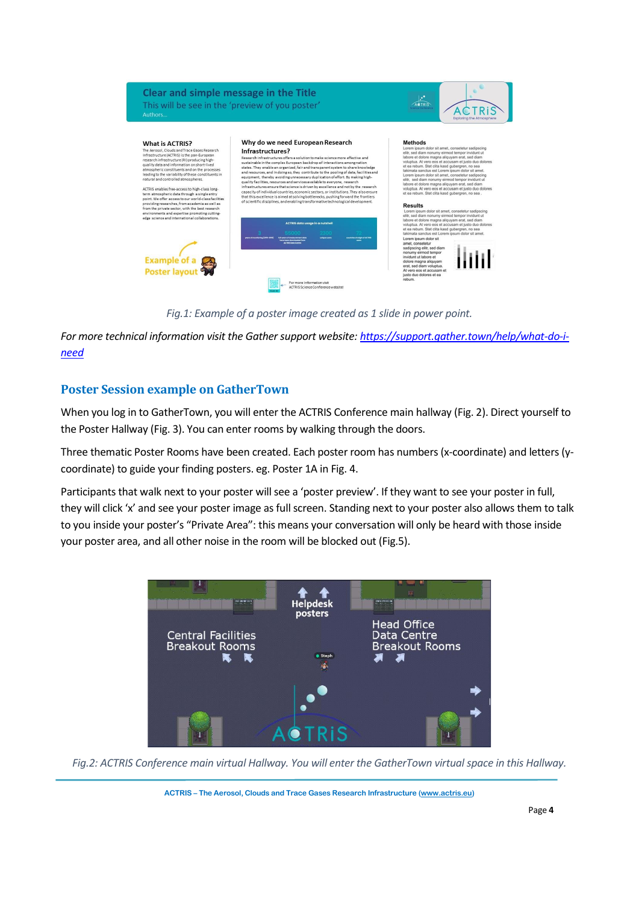

*Fig.1: Example of a poster image created as 1 slide in power point.*

*For more technical information visit the Gather support website[: https://support.gather.town/help/what-do-i](https://support.gather.town/help/what-do-i-need)[need](https://support.gather.town/help/what-do-i-need)*

# **Poster Session example on GatherTown**

When you log in to GatherTown, you will enter the ACTRIS Conference main hallway (Fig. 2). Direct yourself to the Poster Hallway (Fig. 3). You can enter rooms by walking through the doors.

Three thematic Poster Rooms have been created. Each poster room has numbers (x-coordinate) and letters (ycoordinate) to guide your finding posters. eg. Poster 1A in Fig. 4.

Participants that walk next to your poster will see a 'poster preview'. If they want to see your poster in full, they will click 'x' and see your poster image as full screen. Standing next to your poster also allows them to talk to you inside your poster's "Private Area": this means your conversation will only be heard with those inside your poster area, and all other noise in the room will be blocked out (Fig.5).



*Fig.2: ACTRIS Conference main virtual Hallway. You will enter the GatherTown virtual space in this Hallway.*

**ACTRIS – The Aerosol, Clouds and Trace Gases Research Infrastructure [\(www.actris.eu\)](http://www.actris.eu/)**